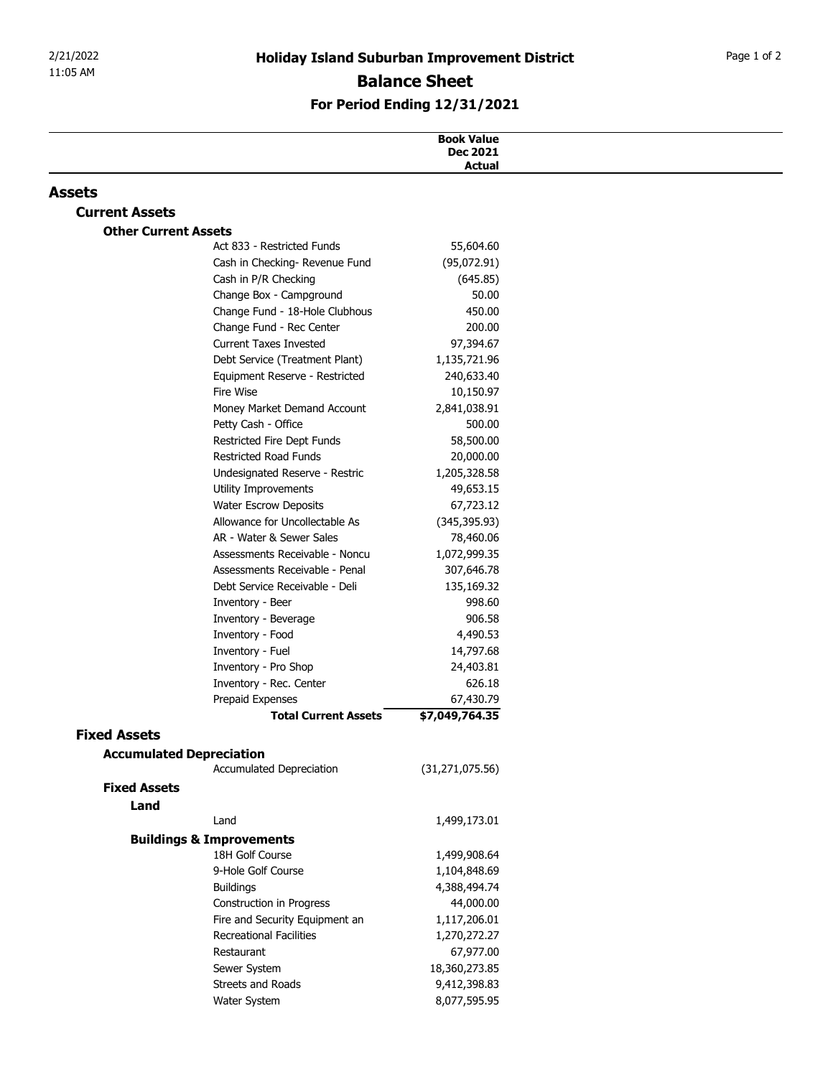## For Period Ending 12/31/2021

| 2/21/2022<br>11:05 AM       |                                                                  | <b>Holiday Island Suburban Improvement District</b> | Page 1 of 2 |
|-----------------------------|------------------------------------------------------------------|-----------------------------------------------------|-------------|
|                             |                                                                  |                                                     |             |
|                             | <b>Balance Sheet</b>                                             |                                                     |             |
|                             | For Period Ending 12/31/2021                                     |                                                     |             |
|                             |                                                                  | <b>Book Value</b>                                   |             |
|                             |                                                                  | <b>Dec 2021</b><br>Actual                           |             |
| <b>Assets</b>               |                                                                  |                                                     |             |
| <b>Current Assets</b>       |                                                                  |                                                     |             |
| <b>Other Current Assets</b> |                                                                  |                                                     |             |
|                             | Act 833 - Restricted Funds                                       | 55,604.60                                           |             |
|                             | Cash in Checking- Revenue Fund<br>Cash in P/R Checking           | (95,072.91)<br>(645.85)                             |             |
|                             | Change Box - Campground                                          | 50.00                                               |             |
|                             | Change Fund - 18-Hole Clubhous                                   | 450.00                                              |             |
|                             | Change Fund - Rec Center                                         | 200.00                                              |             |
|                             | <b>Current Taxes Invested</b>                                    | 97,394.67                                           |             |
|                             | Debt Service (Treatment Plant)<br>Equipment Reserve - Restricted | 1,135,721.96<br>240,633.40                          |             |
|                             | Fire Wise                                                        | 10,150.97                                           |             |
|                             | Money Market Demand Account                                      | 2,841,038.91                                        |             |
|                             | Petty Cash - Office                                              | 500.00                                              |             |
|                             | Restricted Fire Dept Funds                                       | 58,500.00                                           |             |
|                             | Restricted Road Funds<br>Undesignated Reserve - Restric          | 20,000.00<br>1,205,328.58                           |             |
|                             | Utility Improvements                                             | 49,653.15                                           |             |
|                             | <b>Water Escrow Deposits</b>                                     | 67,723.12                                           |             |
|                             | Allowance for Uncollectable As                                   | (345, 395.93)                                       |             |
|                             | AR - Water & Sewer Sales                                         | 78,460.06                                           |             |
|                             | Assessments Receivable - Noncu<br>Assessments Receivable - Penal | 1,072,999.35<br>307,646.78                          |             |
|                             | Debt Service Receivable - Deli                                   | 135,169.32                                          |             |
|                             | Inventory - Beer                                                 | 998.60                                              |             |
|                             | Inventory - Beverage                                             | 906.58                                              |             |
|                             | Inventory - Food                                                 | 4,490.53                                            |             |
|                             | Inventory - Fuel<br>Inventory - Pro Shop                         | 14,797.68<br>24,403.81                              |             |
|                             | Inventory - Rec. Center                                          | 626.18                                              |             |
|                             | Prepaid Expenses                                                 | 67,430.79                                           |             |
|                             | <b>Total Current Assets</b>                                      | \$7,049,764.35                                      |             |
| <b>Fixed Assets</b>         |                                                                  |                                                     |             |
|                             | <b>Accumulated Depreciation</b><br>Accumulated Depreciation      |                                                     |             |
| <b>Fixed Assets</b>         |                                                                  | (31, 271, 075.56)                                   |             |
| Land                        |                                                                  |                                                     |             |
|                             | Land                                                             | 1,499,173.01                                        |             |
|                             | <b>Buildings &amp; Improvements</b>                              |                                                     |             |
|                             | 18H Golf Course                                                  | 1,499,908.64                                        |             |
|                             | 9-Hole Golf Course                                               | 1,104,848.69                                        |             |
|                             | <b>Buildings</b><br>Construction in Progress                     | 4,388,494.74<br>44,000.00                           |             |
|                             | Fire and Security Equipment an                                   | 1,117,206.01                                        |             |
|                             | <b>Recreational Facilities</b>                                   | 1,270,272.27                                        |             |
|                             | Restaurant                                                       | 67,977.00                                           |             |
|                             | Sewer System                                                     | 18,360,273.85                                       |             |
|                             | Streets and Roads<br>Water System                                | 9,412,398.83<br>8,077,595.95                        |             |